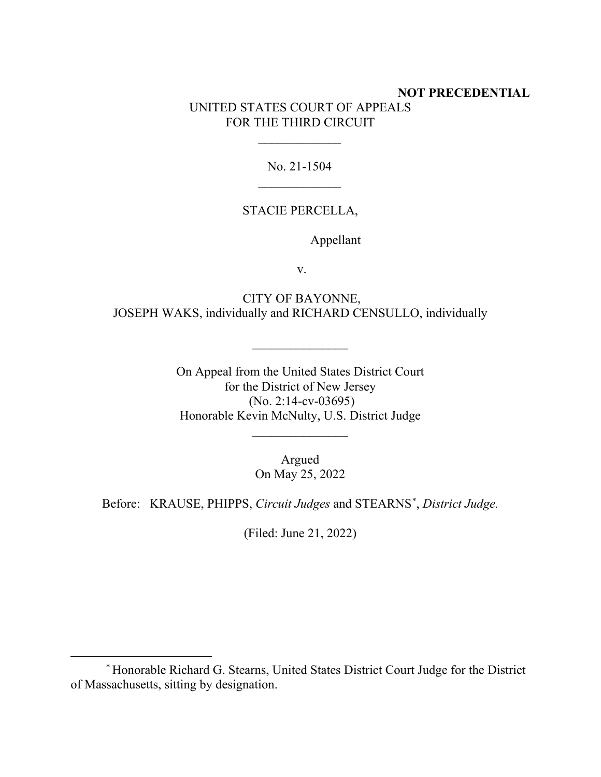## **NOT PRECEDENTIAL** UNITED STATES COURT OF APPEALS FOR THE THIRD CIRCUIT

No. 21-1504  $\frac{1}{2}$ 

 $\frac{1}{2}$ 

## STACIE PERCELLA,

Appellant

v.

CITY OF BAYONNE, JOSEPH WAKS, individually and RICHARD CENSULLO, individually

 $\overline{\phantom{a}}$  , where  $\overline{\phantom{a}}$ 

On Appeal from the United States District Court for the District of New Jersey (No. 2:14-cv-03695) Honorable Kevin McNulty, U.S. District Judge

 $\overline{\phantom{a}}$  , where  $\overline{\phantom{a}}$ 

Argued On May 25, 2022

Before: KRAUSE, PHIPPS, *Circuit Judges* and STEARNS\* , *District Judge.*

(Filed: June 21, 2022)

<sup>\*</sup> Honorable Richard G. Stearns, United States District Court Judge for the District of Massachusetts, sitting by designation.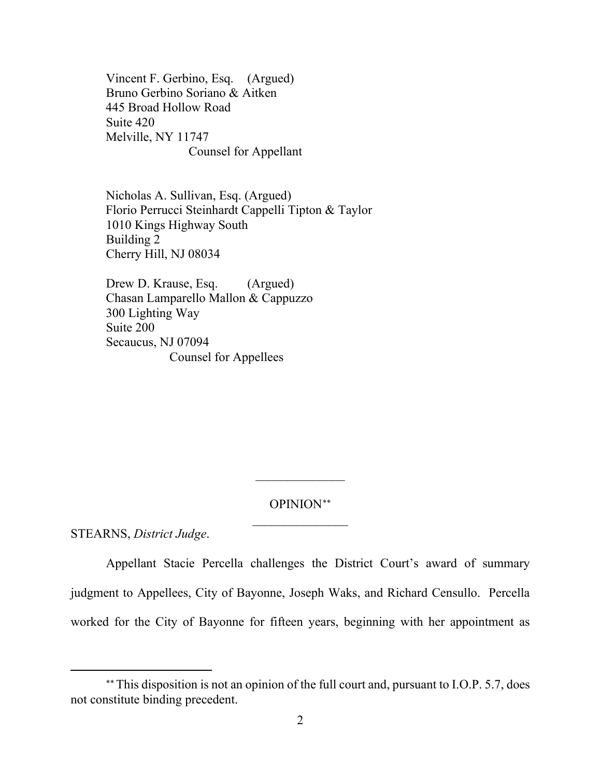Vincent F. Gerbino, Esq. (Argued) Bruno Gerbino Soriano & Aitken 445 Broad Hollow Road Suite 420 Melville, NY 11747 Counsel for Appellant

Nicholas A. Sullivan, Esq. (Argued) Florio Perrucci Steinhardt Cappelli Tipton & Taylor 1010 Kings Highway South Building 2 Cherry Hill, NJ 08034

Drew D. Krause, Esq. (Argued) Chasan Lamparello Mallon & Cappuzzo 300 Lighting Way Suite 200 Secaucus, NJ 07094 Counsel for Appellees

> OPINION∗∗  $\frac{1}{2}$

 $\overline{\phantom{a}}$ 

STEARNS, *District Judge*.

Appellant Stacie Percella challenges the District Court's award of summary judgment to Appellees, City of Bayonne, Joseph Waks, and Richard Censullo. Percella worked for the City of Bayonne for fifteen years, beginning with her appointment as

<sup>∗∗</sup>This disposition is not an opinion of the full court and, pursuant to I.O.P. 5.7, does not constitute binding precedent.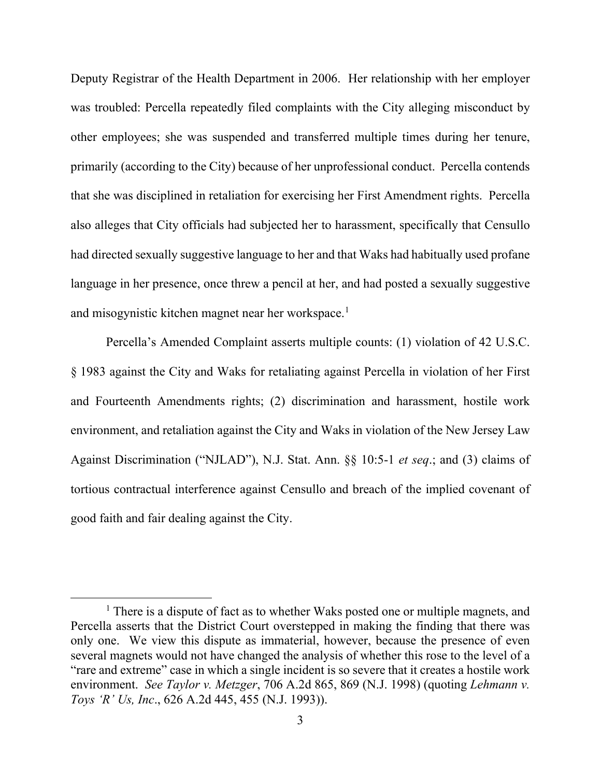Deputy Registrar of the Health Department in 2006. Her relationship with her employer was troubled: Percella repeatedly filed complaints with the City alleging misconduct by other employees; she was suspended and transferred multiple times during her tenure, primarily (according to the City) because of her unprofessional conduct. Percella contends that she was disciplined in retaliation for exercising her First Amendment rights. Percella also alleges that City officials had subjected her to harassment, specifically that Censullo had directed sexually suggestive language to her and that Waks had habitually used profane language in her presence, once threw a pencil at her, and had posted a sexually suggestive and misogynistic kitchen magnet near her workspace.<sup>1</sup>

Percella's Amended Complaint asserts multiple counts: (1) violation of 42 U.S.C. § 1983 against the City and Waks for retaliating against Percella in violation of her First and Fourteenth Amendments rights; (2) discrimination and harassment, hostile work environment, and retaliation against the City and Waks in violation of the New Jersey Law Against Discrimination ("NJLAD"), N.J. Stat. Ann. §§ 10:5-1 *et seq*.; and (3) claims of tortious contractual interference against Censullo and breach of the implied covenant of good faith and fair dealing against the City.

<sup>&</sup>lt;sup>1</sup> There is a dispute of fact as to whether Waks posted one or multiple magnets, and Percella asserts that the District Court overstepped in making the finding that there was only one. We view this dispute as immaterial, however, because the presence of even several magnets would not have changed the analysis of whether this rose to the level of a "rare and extreme" case in which a single incident is so severe that it creates a hostile work environment. *See Taylor v. Metzger*, 706 A.2d 865, 869 (N.J. 1998) (quoting *Lehmann v. Toys 'R' Us, Inc*., 626 A.2d 445, 455 (N.J. 1993)).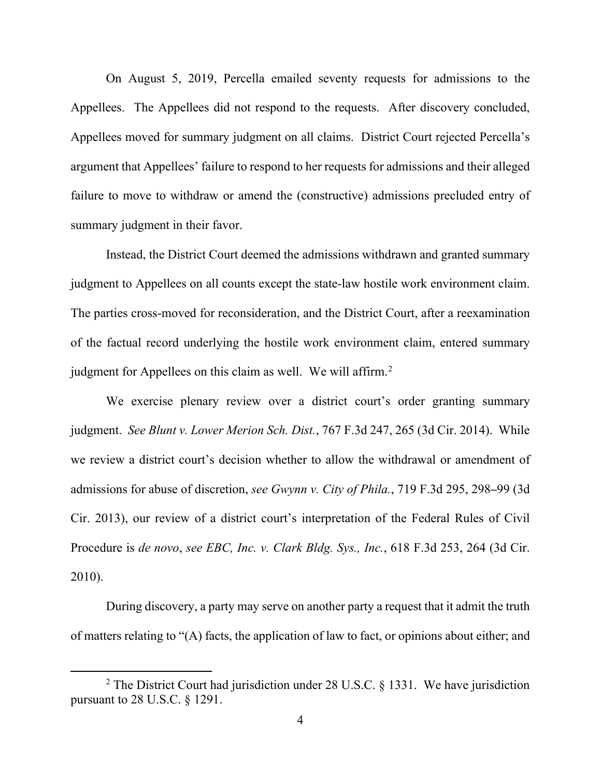On August 5, 2019, Percella emailed seventy requests for admissions to the Appellees. The Appellees did not respond to the requests. After discovery concluded, Appellees moved for summary judgment on all claims. District Court rejected Percella's argument that Appellees' failure to respond to her requests for admissions and their alleged failure to move to withdraw or amend the (constructive) admissions precluded entry of summary judgment in their favor.

Instead, the District Court deemed the admissions withdrawn and granted summary judgment to Appellees on all counts except the state-law hostile work environment claim. The parties cross-moved for reconsideration, and the District Court, after a reexamination of the factual record underlying the hostile work environment claim, entered summary judgment for Appellees on this claim as well. We will affirm.<sup>2</sup>

We exercise plenary review over a district court's order granting summary judgment. *See Blunt v. Lower Merion Sch. Dist.*, 767 F.3d 247, 265 (3d Cir. 2014). While we review a district court's decision whether to allow the withdrawal or amendment of admissions for abuse of discretion, *see Gwynn v. City of Phila.*, 719 F.3d 295, 298**–**99 (3d Cir. 2013), our review of a district court's interpretation of the Federal Rules of Civil Procedure is *de novo*, *see EBC, Inc. v. Clark Bldg. Sys., Inc.*, 618 F.3d 253, 264 (3d Cir. 2010).

During discovery, a party may serve on another party a request that it admit the truth of matters relating to "(A) facts, the application of law to fact, or opinions about either; and

<sup>&</sup>lt;sup>2</sup> The District Court had jurisdiction under 28 U.S.C. § 1331. We have jurisdiction pursuant to 28 U.S.C. § 1291.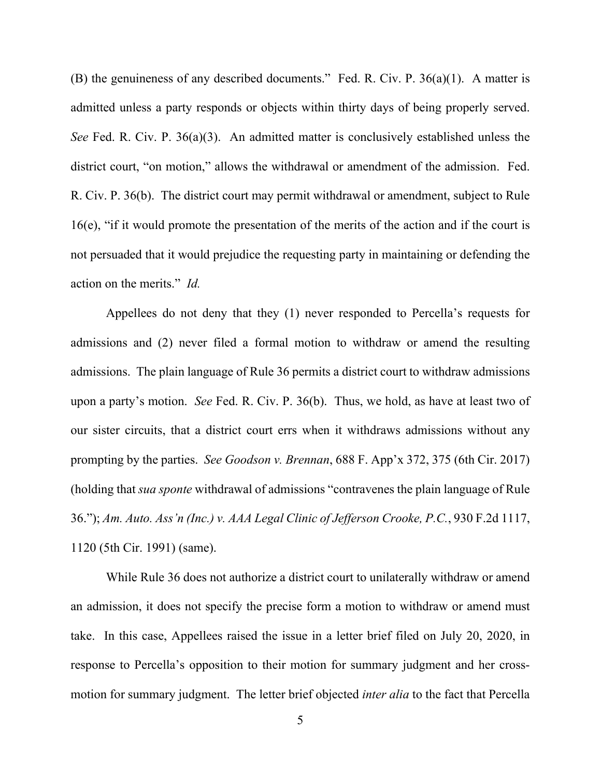(B) the genuineness of any described documents." Fed. R. Civ. P. 36(a)(1). A matter is admitted unless a party responds or objects within thirty days of being properly served. *See* Fed. R. Civ. P. 36(a)(3). An admitted matter is conclusively established unless the district court, "on motion," allows the withdrawal or amendment of the admission. Fed. R. Civ. P. 36(b). The district court may permit withdrawal or amendment, subject to Rule 16(e), "if it would promote the presentation of the merits of the action and if the court is not persuaded that it would prejudice the requesting party in maintaining or defending the action on the merits." *Id.*

Appellees do not deny that they (1) never responded to Percella's requests for admissions and (2) never filed a formal motion to withdraw or amend the resulting admissions. The plain language of Rule 36 permits a district court to withdraw admissions upon a party's motion. *See* Fed. R. Civ. P. 36(b). Thus, we hold, as have at least two of our sister circuits, that a district court errs when it withdraws admissions without any prompting by the parties. *See Goodson v. Brennan*, 688 F. App'x 372, 375 (6th Cir. 2017) (holding that *sua sponte* withdrawal of admissions "contravenes the plain language of Rule 36."); *Am. Auto. Ass'n (Inc.) v. AAA Legal Clinic of Jefferson Crooke, P.C.*, 930 F.2d 1117, 1120 (5th Cir. 1991) (same).

While Rule 36 does not authorize a district court to unilaterally withdraw or amend an admission, it does not specify the precise form a motion to withdraw or amend must take. In this case, Appellees raised the issue in a letter brief filed on July 20, 2020, in response to Percella's opposition to their motion for summary judgment and her crossmotion for summary judgment. The letter brief objected *inter alia* to the fact that Percella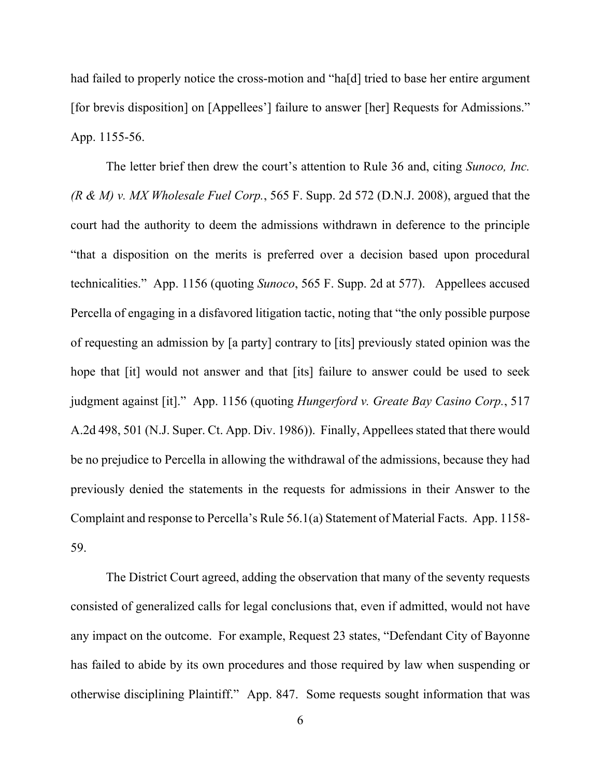had failed to properly notice the cross-motion and "ha[d] tried to base her entire argument [for brevis disposition] on [Appellees'] failure to answer [her] Requests for Admissions." App. 1155-56.

The letter brief then drew the court's attention to Rule 36 and, citing *Sunoco, Inc. (R & M) v. MX Wholesale Fuel Corp.*, 565 F. Supp. 2d 572 (D.N.J. 2008), argued that the court had the authority to deem the admissions withdrawn in deference to the principle "that a disposition on the merits is preferred over a decision based upon procedural technicalities." App. 1156 (quoting *Sunoco*, 565 F. Supp. 2d at 577). Appellees accused Percella of engaging in a disfavored litigation tactic, noting that "the only possible purpose of requesting an admission by [a party] contrary to [its] previously stated opinion was the hope that [it] would not answer and that [its] failure to answer could be used to seek judgment against [it]." App. 1156 (quoting *Hungerford v. Greate Bay Casino Corp.*, 517 A.2d 498, 501 (N.J. Super. Ct. App. Div. 1986)). Finally, Appellees stated that there would be no prejudice to Percella in allowing the withdrawal of the admissions, because they had previously denied the statements in the requests for admissions in their Answer to the Complaint and response to Percella's Rule 56.1(a) Statement of Material Facts. App. 1158- 59.

The District Court agreed, adding the observation that many of the seventy requests consisted of generalized calls for legal conclusions that, even if admitted, would not have any impact on the outcome. For example, Request 23 states, "Defendant City of Bayonne has failed to abide by its own procedures and those required by law when suspending or otherwise disciplining Plaintiff." App. 847. Some requests sought information that was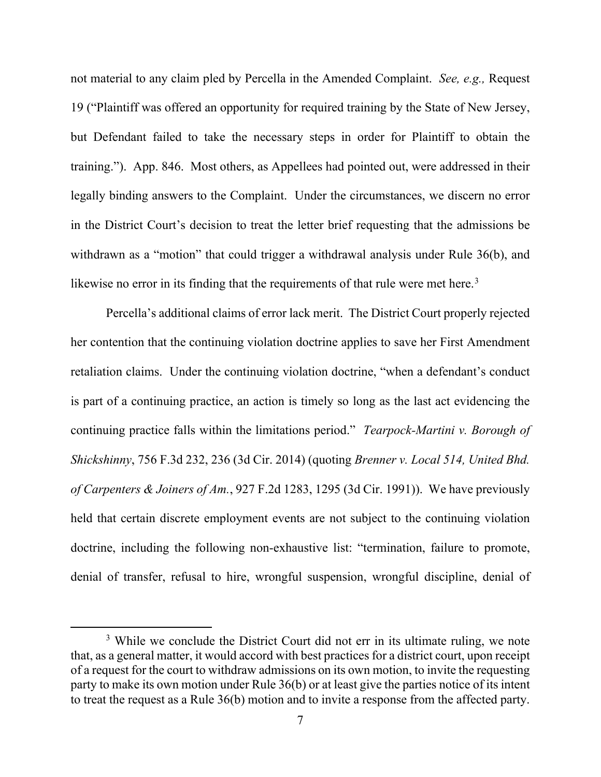not material to any claim pled by Percella in the Amended Complaint. *See, e.g.,* Request 19 ("Plaintiff was offered an opportunity for required training by the State of New Jersey, but Defendant failed to take the necessary steps in order for Plaintiff to obtain the training."). App. 846. Most others, as Appellees had pointed out, were addressed in their legally binding answers to the Complaint. Under the circumstances, we discern no error in the District Court's decision to treat the letter brief requesting that the admissions be withdrawn as a "motion" that could trigger a withdrawal analysis under Rule 36(b), and likewise no error in its finding that the requirements of that rule were met here.<sup>3</sup>

Percella's additional claims of error lack merit. The District Court properly rejected her contention that the continuing violation doctrine applies to save her First Amendment retaliation claims. Under the continuing violation doctrine, "when a defendant's conduct is part of a continuing practice, an action is timely so long as the last act evidencing the continuing practice falls within the limitations period." *Tearpock-Martini v. Borough of Shickshinny*, 756 F.3d 232, 236 (3d Cir. 2014) (quoting *Brenner v. Local 514, United Bhd. of Carpenters & Joiners of Am.*, 927 F.2d 1283, 1295 (3d Cir. 1991)). We have previously held that certain discrete employment events are not subject to the continuing violation doctrine, including the following non-exhaustive list: "termination, failure to promote, denial of transfer, refusal to hire, wrongful suspension, wrongful discipline, denial of

<sup>&</sup>lt;sup>3</sup> While we conclude the District Court did not err in its ultimate ruling, we note that, as a general matter, it would accord with best practices for a district court, upon receipt of a request for the court to withdraw admissions on its own motion, to invite the requesting party to make its own motion under Rule 36(b) or at least give the parties notice of its intent to treat the request as a Rule 36(b) motion and to invite a response from the affected party.